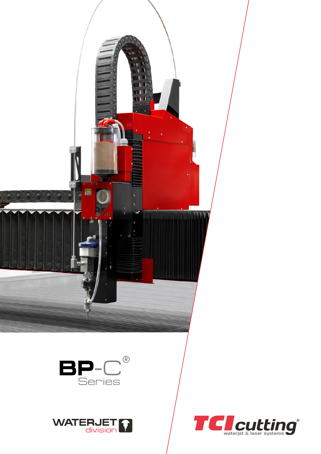





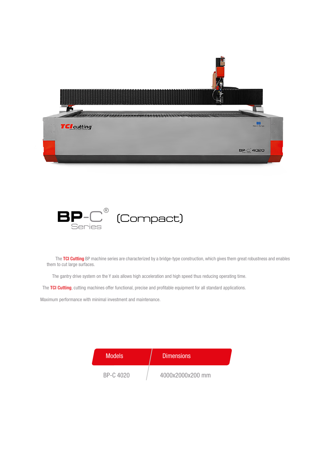



The TCI Cutting BP machine series are characterized by a bridge-type construction, which gives them great robustness and enables them to cut large surfaces.

The gantry drive system on the Y axis allows high acceleration and high speed thus reducing operating time.

The TCI Cutting, cutting machines offer functional, precise and profitable equipment for all standard applications.

Maximum performance with minimal investment and maintenance.

| <b>Models</b> | <b>Dimensions</b> |
|---------------|-------------------|
| BP-C 4020     | 4000x2000x200 mm  |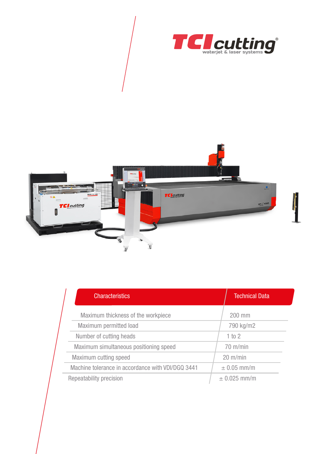



| <b>Characteristics</b>                            | <b>Technical Data</b> |
|---------------------------------------------------|-----------------------|
| Maximum thickness of the workpiece                | 200 mm                |
| Maximum permitted load                            | 790 kg/m2             |
| Number of cutting heads                           | 1 to 2                |
| Maximum simultaneous positioning speed            | $70$ m/min            |
| Maximum cutting speed                             | $20 \text{ m/min}$    |
| Machine tolerance in accordance with VDI/DGQ 3441 | $\pm$ 0.05 mm/m       |
| Repeatability precision                           | $± 0.025$ mm/m        |